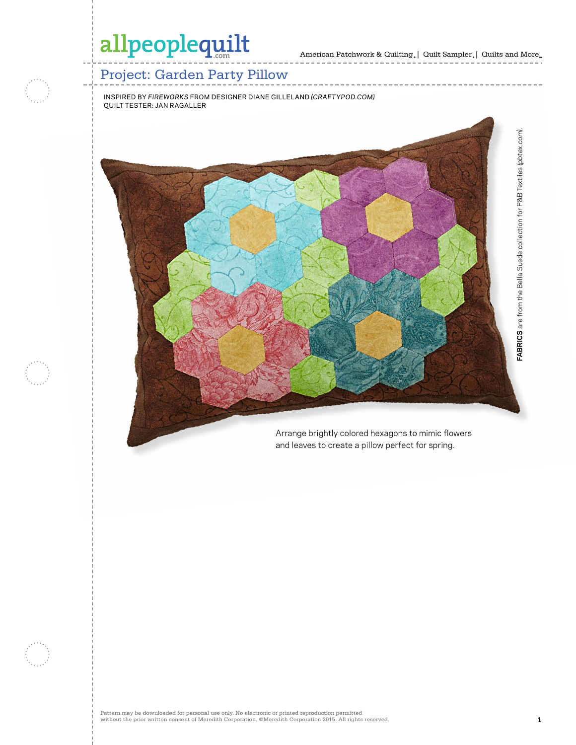$\cdots\cdots\cdots\cdots\cdots$ 

### Project: Garden Party Pillow

INSPIRED BY *FIREWORKS* FROM DESIGNER DIANE GILLELAND *(CRAFTYPOD.COM)* QUILT TESTER: JAN RAGALLER



Arrange brightly colored hexagons to mimic flowers and leaves to create a pillow perfect for spring.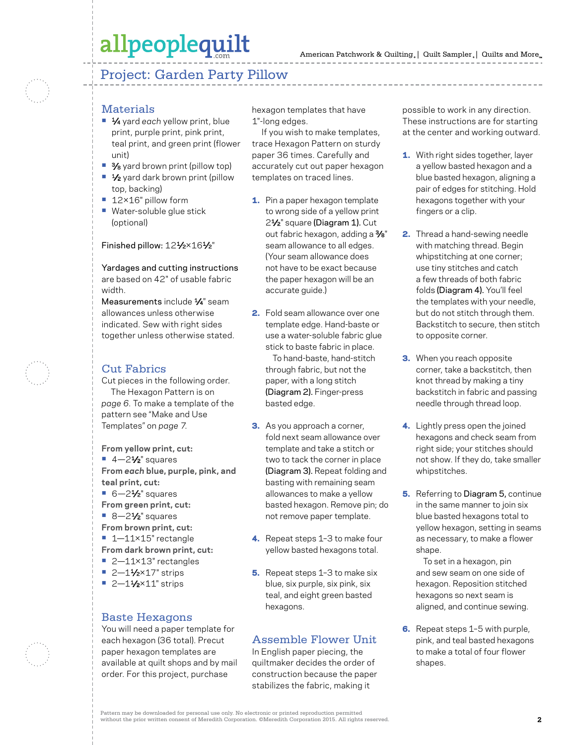### Project: Garden Party Pillow

#### **Materials**

- **•** 1⁄4 yard *each* yellow print, blue print, purple print, pink print, teal print, and green print (flower unit)
- <sup>3</sup>⁄8 yard brown print (pillow top)
- <sup>1</sup>⁄2 yard dark brown print (pillow top, backing)
- **•** 12×16" pillow form
- **•** Water-soluble glue stick (optional)

#### Finished pillow: 121/2×161/2"

Yardages and cutting instructions are based on 42" of usable fabric width.

Measurements include  $\frac{1}{4}$ " seam allowances unless otherwise indicated. Sew with right sides together unless otherwise stated.

#### Cut Fabrics

Cut pieces in the following order. The Hexagon Pattern is on *page 6.* To make a template of the pattern see "Make and Use Templates" on *page 7.*

**From yellow print, cut: •** 4—21⁄2" squares **From** *each* **blue, purple, pink, and teal print, cut: •** 6—21⁄2" squares **From green print, cut:**  ■ 8-2<sup>1</sup>⁄<sub>2</sub>" squares **From brown print, cut:** 

- **•** 1—11×15" rectangle **From dark brown print, cut:**
- **•** 2—11×13" rectangles
- **•** 2—11⁄2×17" strips
- **•** 2-11/<sub>2</sub>×11" strips

#### Baste Hexagons

You will need a paper template for each hexagon (36 total). Precut paper hexagon templates are available at quilt shops and by mail order. For this project, purchase

hexagon templates that have 1"-long edges.

If you wish to make templates, trace Hexagon Pattern on sturdy paper 36 times. Carefully and accurately cut out paper hexagon templates on traced lines.

- 1. Pin a paper hexagon template to wrong side of a yellow print 21⁄2" square (Diagram 1). Cut out fabric hexagon, adding a 3⁄8" seam allowance to all edges. (Your seam allowance does not have to be exact because the paper hexagon will be an accurate guide.)
- 2. Fold seam allowance over one template edge. Hand-baste or use a water-soluble fabric glue stick to baste fabric in place.

 To hand-baste, hand-stitch through fabric, but not the paper, with a long stitch (Diagram 2). Finger-press basted edge.

- **3.** As you approach a corner, fold next seam allowance over template and take a stitch or two to tack the corner in place (Diagram 3). Repeat folding and basting with remaining seam allowances to make a yellow basted hexagon. Remove pin; do not remove paper template.
- 4. Repeat steps 1-3 to make four yellow basted hexagons total.
- 5. Repeat steps 1-3 to make six blue, six purple, six pink, six teal, and eight green basted hexagons.

#### Assemble Flower Unit

In English paper piecing, the quiltmaker decides the order of construction because the paper stabilizes the fabric, making it

possible to work in any direction. These instructions are for starting at the center and working outward.

- **1.** With right sides together, layer a yellow basted hexagon and a blue basted hexagon, aligning a pair of edges for stitching. Hold hexagons together with your fingers or a clip.
- 2. Thread a hand-sewing needle with matching thread. Begin whipstitching at one corner; use tiny stitches and catch a few threads of both fabric folds (Diagram 4). You'll feel the templates with your needle, but do not stitch through them. Backstitch to secure, then stitch to opposite corner.
- **3.** When you reach opposite corner, take a backstitch, then knot thread by making a tiny backstitch in fabric and passing needle through thread loop.
- 4. Lightly press open the joined hexagons and check seam from right side; your stitches should not show. If they do, take smaller whipstitches.
- **5.** Referring to Diagram 5, continue in the same manner to join six blue basted hexagons total to yellow hexagon, setting in seams as necessary, to make a flower shape.

 To set in a hexagon, pin and sew seam on one side of hexagon. Reposition stitched hexagons so next seam is aligned, and continue sewing.

6. Repeat steps 1-5 with purple, pink, and teal basted hexagons to make a total of four flower shapes.

Pattern may be downloaded for personal use only. No electronic or printed reproduction permitted without the prior written consent of Meredith Corporation. ©Meredith Corporation 2015. All rights reserved. **2**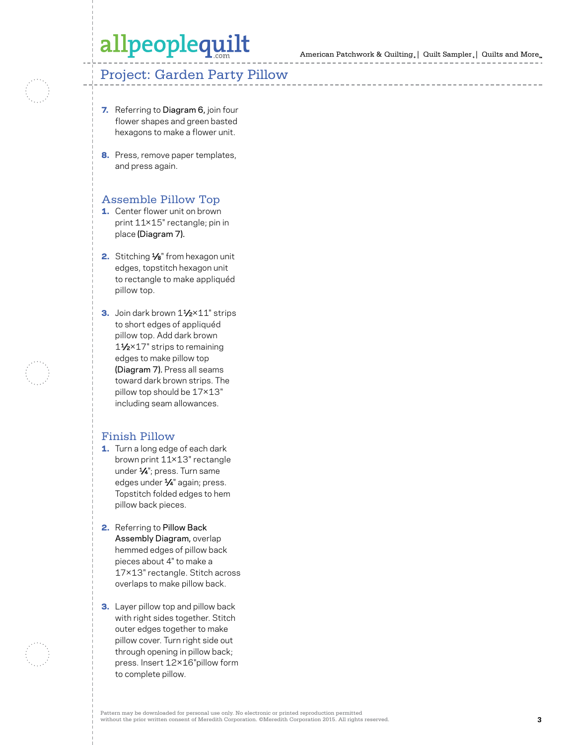American Patchwork & Quilting | Quilt Sampler | Quilts and More

### Project: Garden Party Pillow

- 7. Referring to Diagram 6, join four flower shapes and green basted hexagons to make a flower unit.
- 8. Press, remove paper templates, and press again.

#### Assemble Pillow Top

- 1. Center flower unit on brown print 11×15" rectangle; pin in place (Diagram 7).
- 2. Stitching 1⁄8" from hexagon unit edges, topstitch hexagon unit to rectangle to make appliquéd pillow top.
- 3. Join dark brown 1½×11" strips to short edges of appliquéd pillow top. Add dark brown<br>11⁄2×17" strips to remaining edges to make pillow top (Diagram 7). Press all seams toward dark brown strips. The pillow top should be 17×13" including seam allowances.

#### Finish Pillow

- 1. Turn a long edge of each dark brown print 11×13" rectangle under 1⁄4"; press. Turn same edges under 1⁄4" again; press. Topstitch folded edges to hem pillow back pieces.
- 2. Referring to Pillow Back Assembly Diagram, overlap hemmed edges of pillow back pieces about 4" to make a 17×13" rectangle. Stitch across overlaps to make pillow back.
- **3.** Layer pillow top and pillow back with right sides together. Stitch outer edges together to make pillow cover. Turn right side out through opening in pillow back; press. Insert 12×16"pillow form to complete pillow.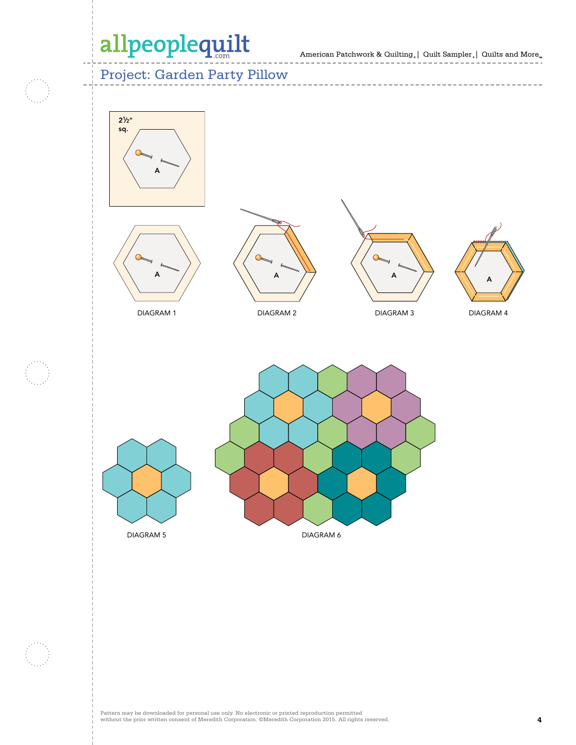American Patchwork & Quilting  $_{\circ} \, | \,$  Quilt Sampler  $_{\circ} \, | \,$  Quilts and More  $_{\circ} \,$ 

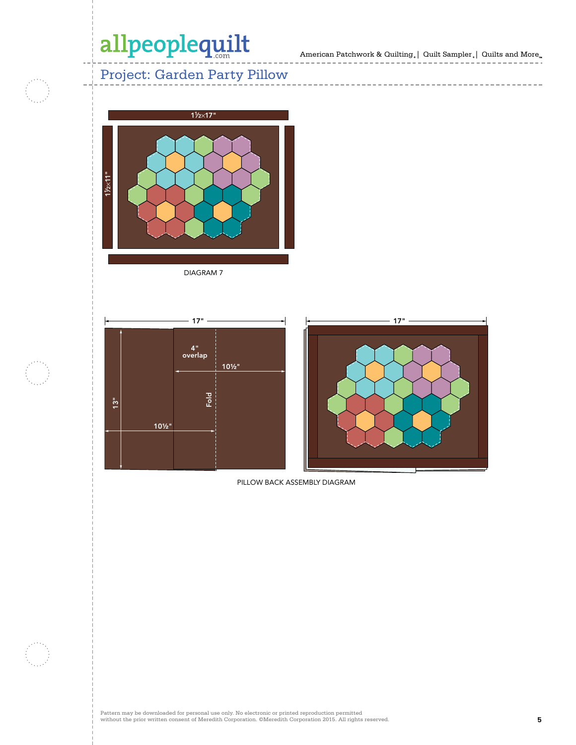American Patchwork & Quilting  $_{\circ} \, | \,$  Quilt Sampler  $_{\circ} \, | \,$  Quilts and More  $_{\circ} \,$ 

---------------------

 $- - - -$ 

-------------

### Project: Garden Party Pillow



DIAGRAM 7





PILLOW BACK ASSEMBLY DIAGRAM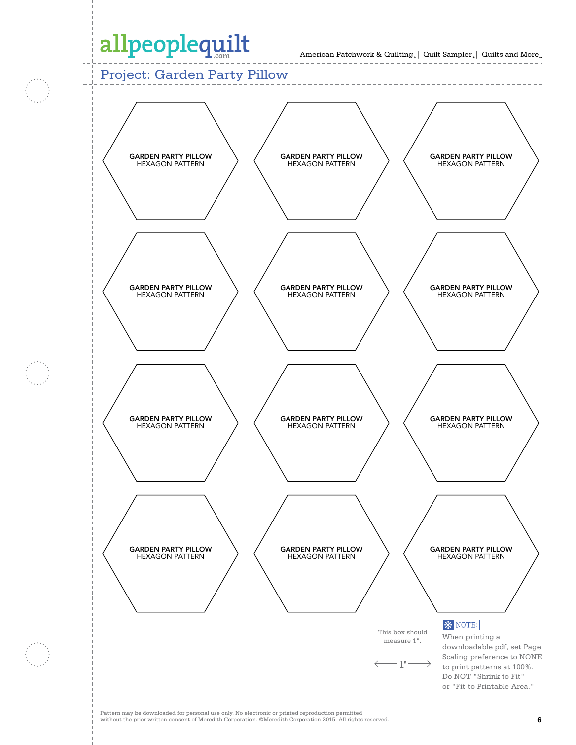American Patchwork & Quilting。| Quilt Sampler。| Quilts and More  $10016 \alpha Q$ Liz Gordon 1-20-15 and wore<sub>"</sub>

### Project: Garden Party Pillow



Pattern may be downloaded for personal use only. No electronic or printed reproduction permitted without the prior written consent of Meredith Corporation. ©Meredith Corporation 2015. All rights reserved. **6**